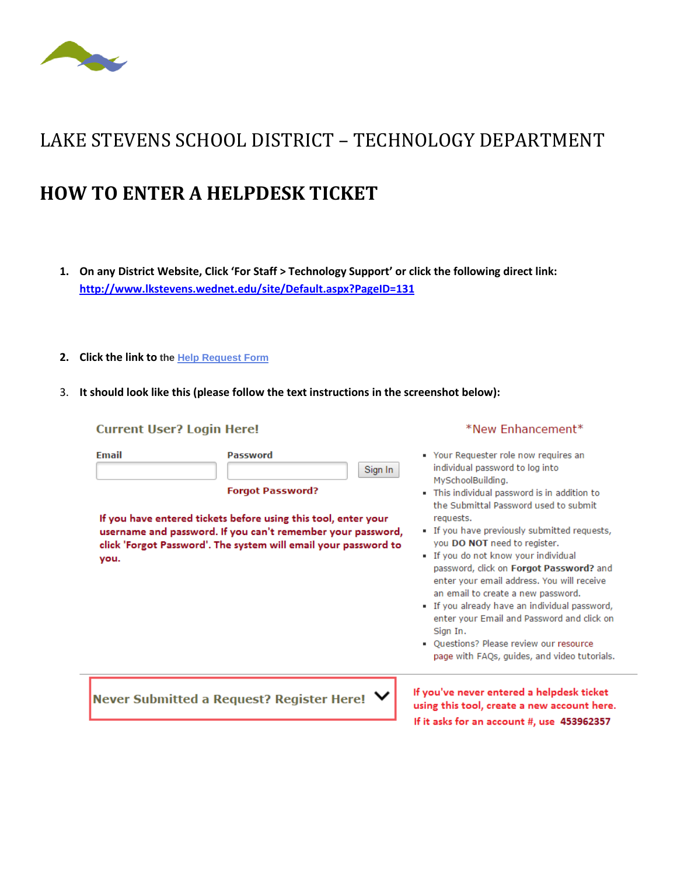

## LAKE STEVENS SCHOOL DISTRICT – TECHNOLOGY DEPARTMENT

## **HOW TO ENTER A HELPDESK TICKET**

- **1. On any District Website, Click 'For Staff > Technology Support' or click the following direct link: <http://www.lkstevens.wednet.edu/site/Default.aspx?PageID=131>**
- **2. Click the link to the [Help Request Form](https://www.myschoolbuilding.com/myschoolbuilding/itdgateway.asp?acctnum=453962357)**
- 3. **It should look like this (please follow the text instructions in the screenshot below):**

| <b>Current User? Login Here!</b> |                                                                                                                                                                                                                                                           | *New Enhancement*                                                                                                                                                                                                                                                                                                                                                                                                                                                                                                                                                                                                                                     |
|----------------------------------|-----------------------------------------------------------------------------------------------------------------------------------------------------------------------------------------------------------------------------------------------------------|-------------------------------------------------------------------------------------------------------------------------------------------------------------------------------------------------------------------------------------------------------------------------------------------------------------------------------------------------------------------------------------------------------------------------------------------------------------------------------------------------------------------------------------------------------------------------------------------------------------------------------------------------------|
| <b>Email</b><br>you.             | <b>Password</b><br>Sign In<br><b>Forgot Password?</b><br>If you have entered tickets before using this tool, enter your<br>username and password. If you can't remember your password,<br>click 'Forgot Password'. The system will email your password to | Your Requester role now requires an<br>individual password to log into<br>MySchoolBuilding.<br>This individual password is in addition to<br>the Submittal Password used to submit.<br>requests.<br>If you have previously submitted requests,<br>you DO NOT need to register.<br>If you do not know your individual<br>password, click on Forgot Password? and<br>enter your email address. You will receive<br>an email to create a new password.<br>If you already have an individual password,<br>enter your Email and Password and click on<br>Sian In.<br>Ouestions? Please review our resource<br>page with FAQs, guides, and video tutorials. |
|                                  | Never Submitted a Request? Register Here! $\blacktriangledown$                                                                                                                                                                                            | If you've never entered a helpdesk ticket<br>using this tool, create a new account here.<br>If it asks for an account #, use 453962357                                                                                                                                                                                                                                                                                                                                                                                                                                                                                                                |